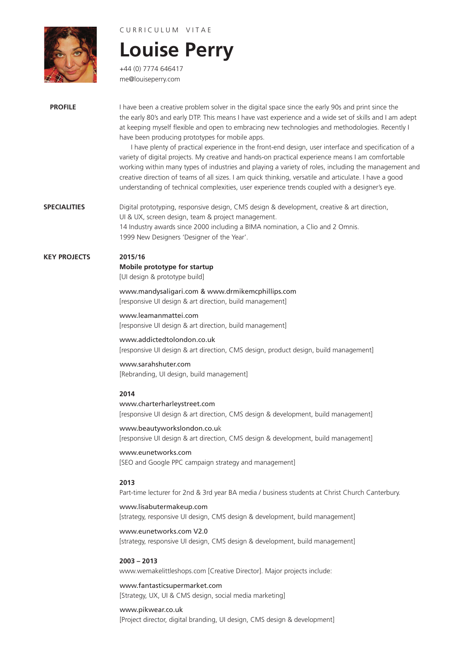# C U R R I C U L U M V I T A E

+44 (0) 7774 646417 me@louiseperry.com

# **Louise Perry**

**PROFILE** I have been a creative problem solver in the digital space since the early 90s and print since the the early 80's and early DTP. This means I have vast experience and a wide set of skills and I am adept at keeping myself flexible and open to embracing new technologies and methodologies. Recently I have been producing prototypes for mobile apps.

> I have plenty of practical experience in the front-end design, user interface and specification of a variety of digital projects. My creative and hands-on practical experience means I am comfortable working within many types of industries and playing a variety of roles, including the management and creative direction of teams of all sizes. I am quick thinking, versatile and articulate. I have a good understanding of technical complexities, user experience trends coupled with a designer's eye.

**SPECIALITIES** Digital prototyping, responsive design, CMS design & development, creative & art direction, UI & UX, screen design, team & project management. 14 Industry awards since 2000 including a BIMA nomination, a Clio and 2 Omnis. 1999 New Designers 'Designer of the Year'.

**KEY PROJECTS 2015/16**

# **Mobile prototype for startup**

[UI design & prototype build]

www.mandysaligari.com & www.drmikemcphillips.com [responsive UI design & art direction, build management]

www.leamanmattei.com [responsive UI design & art direction, build management]

www.addictedtolondon.co.uk [responsive UI design & art direction, CMS design, product design, build management]

## www.sarahshuter.com [Rebranding, UI design, build management]

# **2014**

www.charterharleystreet.com [responsive UI design & art direction, CMS design & development, build management]

www.beautyworkslondon.co.uk [responsive UI design & art direction, CMS design & development, build management]

www.eunetworks.com [SEO and Google PPC campaign strategy and management]

# **2013**

Part-time lecturer for 2nd & 3rd year BA media / business students at Christ Church Canterbury.

# www.lisabutermakeup.com

[strategy, responsive UI design, CMS design & development, build management]

### www.eunetworks.com V2.0

[strategy, responsive UI design, CMS design & development, build management]

# **2003 – 2013**

www.wemakelittleshops.com [Creative Director]. Major projects include:

# www.fantasticsupermarket.com

[Strategy, UX, UI & CMS design, social media marketing]

# www.pikwear.co.uk

[Project director, digital branding, UI design, CMS design & development]